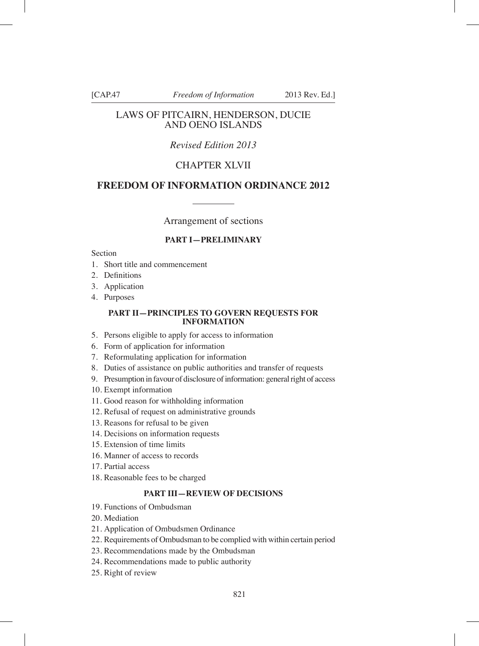#### LAWS OF PITCAIRN, HENDERSON, DUCIE AND OENO ISLANDS

# *Revised Edition 2013*

# CHAPTER XLVII

### **FREEDOM OF INFORMATION ORDINANCE 2012**

Arrangement of sections

#### **PART I—PRELIMINARY**

**Section** 

- 1. Short title and commencement
- 2. Definitions
- 3. Application
- 4. Purposes

#### **PART II—PRINCIPLES TO GOVERN REQUESTS FOR INFORMATION**

- 5. Persons eligible to apply for access to information
- 6. Form of application for information
- 7. Reformulating application for information
- 8. Duties of assistance on public authorities and transfer of requests
- 9. Presumption in favour of disclosure of information: general right of access
- 10. Exempt information
- 11. Good reason for withholding information
- 12. Refusal of request on administrative grounds
- 13. Reasons for refusal to be given
- 14. Decisions on information requests
- 15. Extension of time limits
- 16. Manner of access to records
- 17. Partial access
- 18. Reasonable fees to be charged

#### **PART III—REVIEW OF DECISIONS**

- 19. Functions of Ombudsman
- 20. Mediation
- 21. Application of Ombudsmen Ordinance
- 22. Requirements of Ombudsman to be complied with within certain period
- 23. Recommendations made by the Ombudsman
- 24. Recommendations made to public authority
- 25. Right of review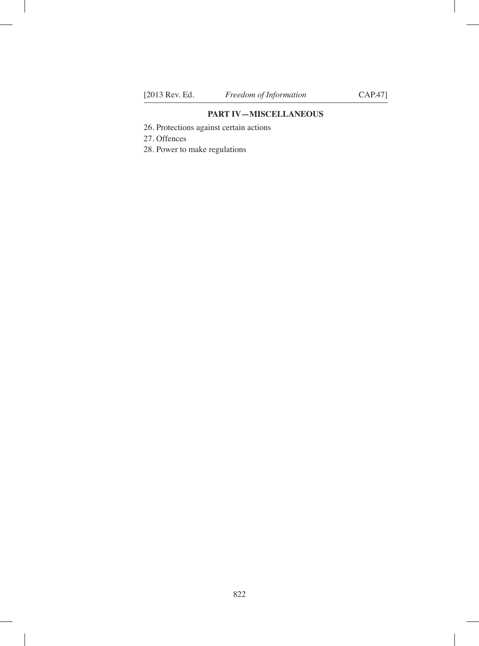#### **PART IV—MISCELLANEOUS**

- 26. Protections against certain actions
- 27. Offences
- 28. Power to make regulations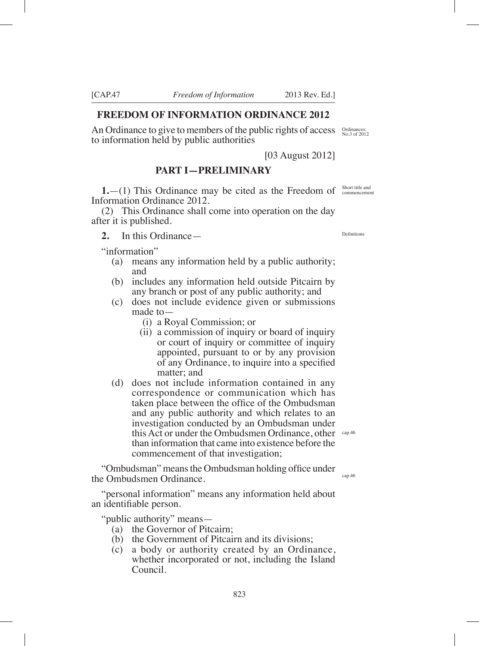### **FREEDOM OF INFORMATION ORDINANCE 2012**

An Ordinance to give to members of the public rights of access  $\frac{\text{Ordinances:}}{\text{No.3 of 2012}}$ to information held by public authorities

[03 August 2012]

# **PART I—PRELIMINARY**

**1.** --(1) This Ordinance may be cited as the Freedom of Short title and Information Ordinance 2012.

(2) This Ordinance shall come into operation on the day after it is published.

**2.** In this Ordinance—

"information"

- (a) means any information held by a public authority; and
- (b) includes any information held outside Pitcairn by any branch or post of any public authority; and
- (c) does not include evidence given or submissions made to—
	- (i) a Royal Commission; or
	- (ii) a commission of inquiry or board of inquiry or court of inquiry or committee of inquiry appointed, pursuant to or by any provision of any Ordinance, to inquire into a specified matter; and
- (d) does not include information contained in any correspondence or communication which has taken place between the office of the Ombudsman and any public authority and which relates to an investigation conducted by an Ombudsman under this Act or under the Ombudsmen Ordinance, other cap.46 than information that came into existence before the commencement of that investigation;

"Ombudsman" means the Ombudsman holding office under the Ombudsmen Ordinance.

"personal information" means any information held about an identifiable person.

"public authority" means—

- (a) the Governor of Pitcairn;
- (b) the Government of Pitcairn and its divisions;
- (c) a body or authority created by an Ordinance, whether incorporated or not, including the Island Council.

Definitions

cap.46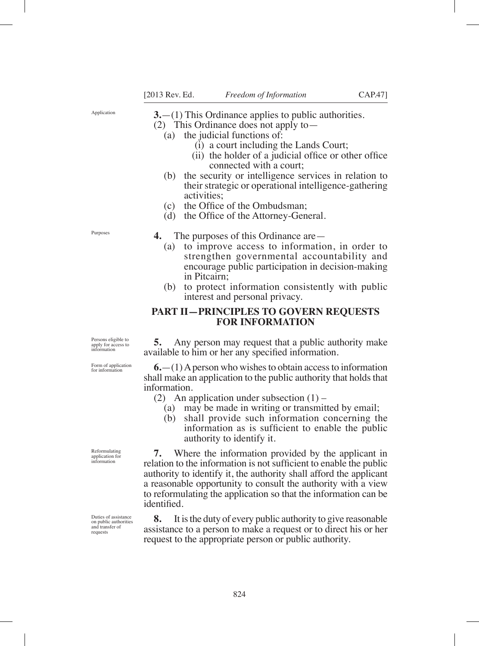Application

**3.**—(1) This Ordinance applies to public authorities.

(2) This Ordinance does not apply to—

- (a) the judicial functions of:
	- (i) a court including the Lands Court;
	- $(ii)$  the holder of a judicial office or other office connected with a court;
- (b) the security or intelligence services in relation to their strategic or operational intelligence-gathering activities;
- $(c)$  the Office of the Ombudsman:
- (d) the Office of the Attorney-General.

Purposes

- **4.** The purposes of this Ordinance are—
	- (a) to improve access to information, in order to strengthen governmental accountability and encourage public participation in decision-making in Pitcairn;
	- (b) to protect information consistently with public interest and personal privacy.

#### **PART II—PRINCIPLES TO GOVERN REQUESTS FOR INFORMATION**

Persons eligible to apply for access to information

Form of application for information

Reformulating application for information

Duties of assistance on public authorities and transfer of requests

**5.** Any person may request that a public authority make available to him or her any specified information.

**6.**—(1) A person who wishes to obtain access to information shall make an application to the public authority that holds that information.

(2) An application under subsection  $(1)$  –

- (a) may be made in writing or transmitted by email;
- (b) shall provide such information concerning the information as is sufficient to enable the public authority to identify it.

**7.** Where the information provided by the applicant in relation to the information is not sufficient to enable the public authority to identify it, the authority shall afford the applicant a reasonable opportunity to consult the authority with a view to reformulating the application so that the information can be identifed.

**8.** It is the duty of every public authority to give reasonable assistance to a person to make a request or to direct his or her request to the appropriate person or public authority.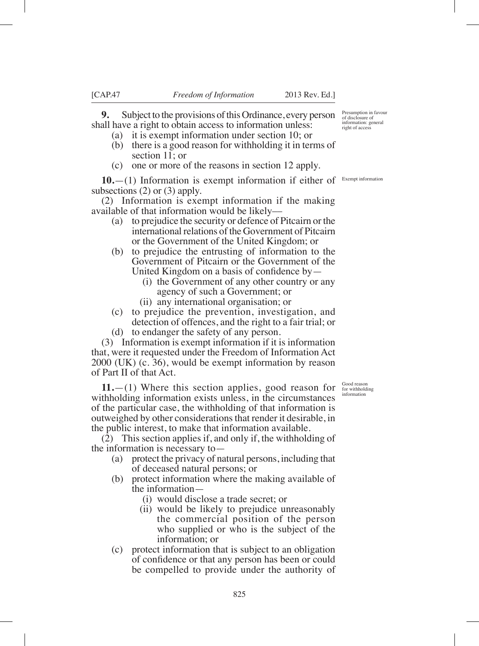**9.** Subject to the provisions of this Ordinance, every person shall have a right to obtain access to information unless:

- (a) it is exempt information under section 10; or
- (b) there is a good reason for withholding it in terms of section 11; or
- (c) one or more of the reasons in section 12 apply.

**10.** - (1) Information is exempt information if either of <sup>Exempt information</sup> subsections (2) or (3) apply.

(2) Information is exempt information if the making available of that information would be likely––

- (a) to prejudice the security or defence of Pitcairn or the international relations of the Government of Pitcairn or the Government of the United Kingdom; or
- (b) to prejudice the entrusting of information to the Government of Pitcairn or the Government of the United Kingdom on a basis of confidence by  $-$ 
	- (i) the Government of any other country or any agency of such a Government; or
	- (ii) any international organisation; or
- (c) to prejudice the prevention, investigation, and detection of offences, and the right to a fair trial; or
- (d) to endanger the safety of any person.

(3) Information is exempt information if it is information that, were it requested under the Freedom of Information Act 2000 (UK) (c. 36), would be exempt information by reason of Part II of that Act.

**11.**—(1) Where this section applies, good reason for withholding information exists unless, in the circumstances of the particular case, the withholding of that information is outweighed by other considerations that render it desirable, in the public interest, to make that information available.

(2) This section applies if, and only if, the withholding of the information is necessary to—

- (a) protect the privacy of natural persons, including that of deceased natural persons; or
- (b) protect information where the making available of the information—
	- (i) would disclose a trade secret; or
	- (ii) would be likely to prejudice unreasonably the commercial position of the person who supplied or who is the subject of the information; or
- (c) protect information that is subject to an obligation of confidence or that any person has been or could be compelled to provide under the authority of

Presumption in favour of disclosure of information: general right of access

Good reason for withholding information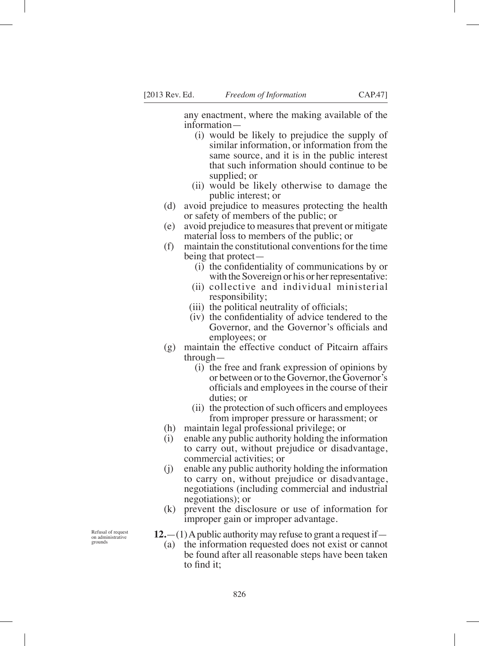any enactment, where the making available of the information—

- (i) would be likely to prejudice the supply of similar information, or information from the same source, and it is in the public interest that such information should continue to be supplied; or
- (ii) would be likely otherwise to damage the public interest; or
- (d) avoid prejudice to measures protecting the health or safety of members of the public; or
- (e) avoid prejudice to measures that prevent or mitigate material loss to members of the public; or
- (f) maintain the constitutional conventions for the time being that protect—
	- $(i)$  the confidentiality of communications by or with the Sovereign or his or her representative:
	- (ii) collective and individual ministerial responsibility;
	- $(iii)$  the political neutrality of officials;
	- $(iv)$  the confidentiality of advice tendered to the Governor, and the Governor's officials and employees; or
- (g) maintain the effective conduct of Pitcairn affairs through—
	- (i) the free and frank expression of opinions by or between or to the Governor, the Governor's officials and employees in the course of their duties; or
	- $(ii)$  the protection of such officers and employees from improper pressure or harassment; or
- (h) maintain legal professional privilege; or
- (i) enable any public authority holding the information to carry out, without prejudice or disadvantage, commercial activities; or
- (j) enable any public authority holding the information to carry on, without prejudice or disadvantage, negotiations (including commercial and industrial negotiations); or
- (k) prevent the disclosure or use of information for improper gain or improper advantage.

**12.**—(1) A public authority may refuse to grant a request if—

(a) the information requested does not exist or cannot be found after all reasonable steps have been taken to fnd it

Refusal of request on administrative grounds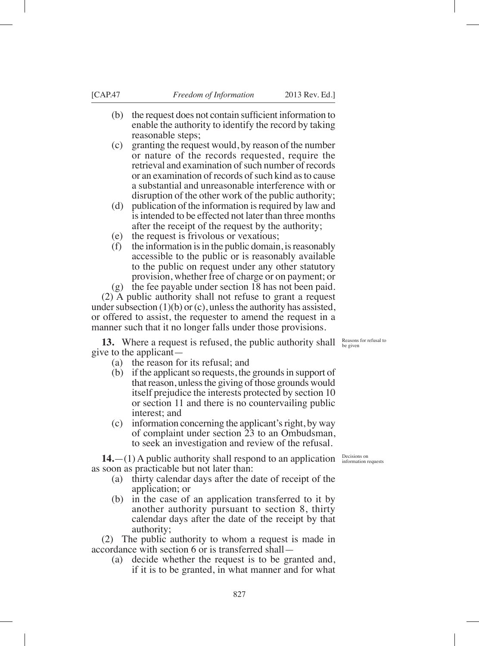- $(b)$  the request does not contain sufficient information to enable the authority to identify the record by taking reasonable steps;
- (c) granting the request would, by reason of the number or nature of the records requested, require the retrieval and examination of such number of records or an examination of records of such kind as to cause a substantial and unreasonable interference with or disruption of the other work of the public authority;
- (d) publication of the information is required by law and is intended to be effected not later than three months after the receipt of the request by the authority;
- (e) the request is frivolous or vexatious;
- (f) the information is in the public domain, is reasonably accessible to the public or is reasonably available to the public on request under any other statutory provision, whether free of charge or on payment; or

(g) the fee payable under section 18 has not been paid. (2) A public authority shall not refuse to grant a request under subsection  $(1)(b)$  or  $(c)$ , unless the authority has assisted, or offered to assist, the requester to amend the request in a manner such that it no longer falls under those provisions.

**13.** Where a request is refused, the public authority shall give to the applicant—

- (a) the reason for its refusal; and
- (b) if the applicant so requests, the grounds in support of that reason, unless the giving of those grounds would itself prejudice the interests protected by section 10 or section 11 and there is no countervailing public interest; and
- (c) information concerning the applicant's right, by way of complaint under section 23 to an Ombudsman, to seek an investigation and review of the refusal.

**14.**  $-(1)$  A public authority shall respond to an application  $\frac{\text{Decision on}}{\text{information requests}}$ as soon as practicable but not later than:

- (a) thirty calendar days after the date of receipt of the application; or
- (b) in the case of an application transferred to it by another authority pursuant to section 8, thirty calendar days after the date of the receipt by that authority;

(2) The public authority to whom a request is made in accordance with section 6 or is transferred shall—

(a) decide whether the request is to be granted and, if it is to be granted, in what manner and for what

Reasons for refusal to be given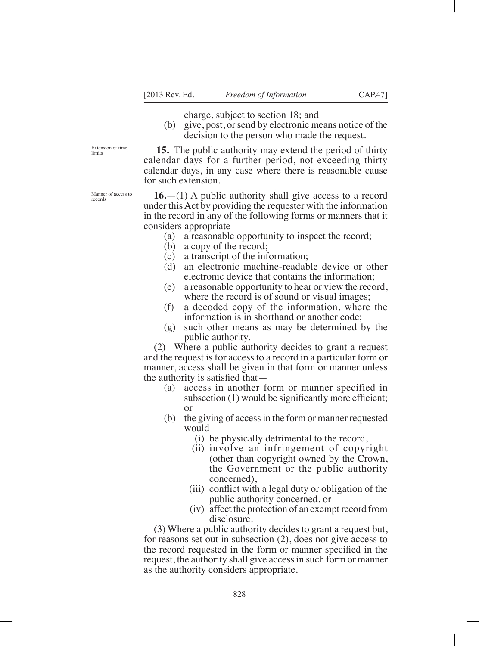charge, subject to section 18; and

(b) give, post, or send by electronic means notice of the decision to the person who made the request.

**15.** The public authority may extend the period of thirty calendar days for a further period, not exceeding thirty calendar days, in any case where there is reasonable cause for such extension.

**16.**—(1) A public authority shall give access to a record under this Act by providing the requester with the information in the record in any of the following forms or manners that it considers appropriate—

- (a) a reasonable opportunity to inspect the record;
- (b) a copy of the record;
- (c) a transcript of the information;
- (d) an electronic machine-readable device or other electronic device that contains the information;
- (e) a reasonable opportunity to hear or view the record, where the record is of sound or visual images;
- (f) a decoded copy of the information, where the information is in shorthand or another code;
- (g) such other means as may be determined by the public authority.

(2) Where a public authority decides to grant a request and the request is for access to a record in a particular form or manner, access shall be given in that form or manner unless the authority is satisfied that  $-$ 

- (a) access in another form or manner specified in subsection  $(1)$  would be significantly more efficient; or
- (b) the giving of access in the form or manner requested would—
	- (i) be physically detrimental to the record,
	- (ii) involve an infringement of copyright (other than copyright owned by the Crown, the Government or the public authority concerned),
	- $(iii)$  conflict with a legal duty or obligation of the public authority concerned, or
	- (iv) affect the protection of an exempt record from disclosure.

(3) Where a public authority decides to grant a request but, for reasons set out in subsection (2), does not give access to the record requested in the form or manner specified in the request, the authority shall give access in such form or manner as the authority considers appropriate.

Extension of time limits

Manner of access to records

828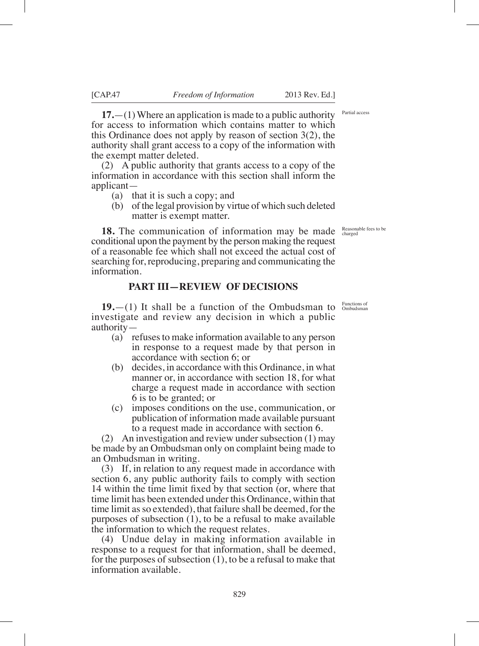**17.**—(1) Where an application is made to a public authority for access to information which contains matter to which this Ordinance does not apply by reason of section 3(2), the authority shall grant access to a copy of the information with the exempt matter deleted.

(2) A public authority that grants access to a copy of the information in accordance with this section shall inform the applicant—

- (a) that it is such a copy; and
- (b) of the legal provision by virtue of which such deleted matter is exempt matter.

**18.** The communication of information may be made Reasonable fees to be conditional upon the payment by the person making the request of a reasonable fee which shall not exceed the actual cost of searching for, reproducing, preparing and communicating the information.

## **PART III—REVIEW OF DECISIONS**

**19.**  $-$ (1) It shall be a function of the Ombudsman to  $\frac{Funchations of the}{Ombudsmann}$ investigate and review any decision in which a public authority—

- (a) refuses to make information available to any person in response to a request made by that person in accordance with section 6; or
- (b) decides, in accordance with this Ordinance, in what manner or, in accordance with section 18, for what charge a request made in accordance with section 6 is to be granted; or
- (c) imposes conditions on the use, communication, or publication of information made available pursuant to a request made in accordance with section 6.

(2) An investigation and review under subsection (1) may be made by an Ombudsman only on complaint being made to an Ombudsman in writing.

(3) If, in relation to any request made in accordance with section 6, any public authority fails to comply with section 14 within the time limit fixed by that section (or, where that time limit has been extended under this Ordinance, within that time limit as so extended), that failure shall be deemed, for the purposes of subsection (1), to be a refusal to make available the information to which the request relates.

(4) Undue delay in making information available in response to a request for that information, shall be deemed, for the purposes of subsection (1), to be a refusal to make that information available.

Partial access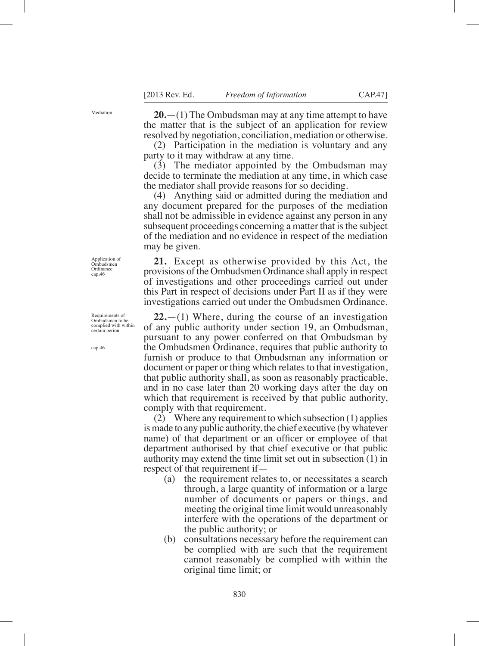Mediation

**20.**—(1) The Ombudsman may at any time attempt to have the matter that is the subject of an application for review resolved by negotiation, conciliation, mediation or otherwise.

(2) Participation in the mediation is voluntary and any party to it may withdraw at any time.

(3) The mediator appointed by the Ombudsman may decide to terminate the mediation at any time, in which case the mediator shall provide reasons for so deciding.

(4) Anything said or admitted during the mediation and any document prepared for the purposes of the mediation shall not be admissible in evidence against any person in any subsequent proceedings concerning a matter that is the subject of the mediation and no evidence in respect of the mediation may be given.

**21.** Except as otherwise provided by this Act, the provisions of the Ombudsmen Ordinance shall apply in respect of investigations and other proceedings carried out under this Part in respect of decisions under Part II as if they were investigations carried out under the Ombudsmen Ordinance.

**22.**—(1) Where, during the course of an investigation of any public authority under section 19, an Ombudsman, pursuant to any power conferred on that Ombudsman by the Ombudsmen Ordinance, requires that public authority to furnish or produce to that Ombudsman any information or document or paper or thing which relates to that investigation, that public authority shall, as soon as reasonably practicable, and in no case later than 20 working days after the day on which that requirement is received by that public authority, comply with that requirement.

(2) Where any requirement to which subsection (1) applies is made to any public authority, the chief executive (by whatever name) of that department or an officer or employee of that department authorised by that chief executive or that public authority may extend the time limit set out in subsection (1) in respect of that requirement if—

- (a) the requirement relates to, or necessitates a search through, a large quantity of information or a large number of documents or papers or things, and meeting the original time limit would unreasonably interfere with the operations of the department or the public authority; or
- (b) consultations necessary before the requirement can be complied with are such that the requirement cannot reasonably be complied with within the original time limit; or

Application of Ombudsmen Ordinance cap.46

Requirements of Ombudsman to be complied with within certain perion

cap.46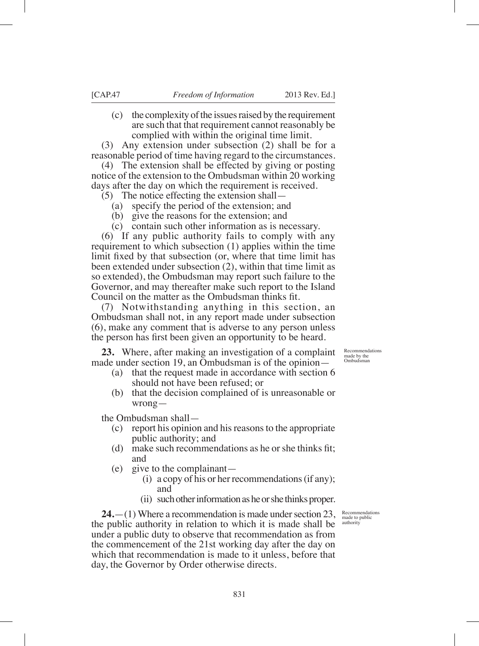(c) the complexity of the issues raised by the requirement are such that that requirement cannot reasonably be complied with within the original time limit.

(3) Any extension under subsection (2) shall be for a reasonable period of time having regard to the circumstances.

(4) The extension shall be effected by giving or posting notice of the extension to the Ombudsman within 20 working days after the day on which the requirement is received.

(5) The notice effecting the extension shall—

- (a) specify the period of the extension; and
- (b) give the reasons for the extension; and
- (c) contain such other information as is necessary.

(6) If any public authority fails to comply with any requirement to which subsection (1) applies within the time limit fixed by that subsection (or, where that time limit has been extended under subsection (2), within that time limit as so extended), the Ombudsman may report such failure to the Governor, and may thereafter make such report to the Island Council on the matter as the Ombudsman thinks fit.

(7) Notwithstanding anything in this section, an Ombudsman shall not, in any report made under subsection (6), make any comment that is adverse to any person unless the person has first been given an opportunity to be heard.

**23.** Where, after making an investigation of a complaint made under section 19, an Ombudsman is of the opinion—

- (a) that the request made in accordance with section 6 should not have been refused; or
- (b) that the decision complained of is unreasonable or wrong—

the Ombudsman shall—

- (c) report his opinion and his reasons to the appropriate public authority; and
- (d) make such recommendations as he or she thinks fit; and
- (e) give to the complainant—
	- (i) a copy of his or her recommendations (if any); and
	- (ii) such other information as he or she thinks proper.

**24.**—(1) Where a recommendation is made under section 23, the public authority in relation to which it is made shall be under a public duty to observe that recommendation as from the commencement of the 21st working day after the day on which that recommendation is made to it unless, before that day, the Governor by Order otherwise directs.

Recommendations made by the Ombudsman

Recommendations made to public authority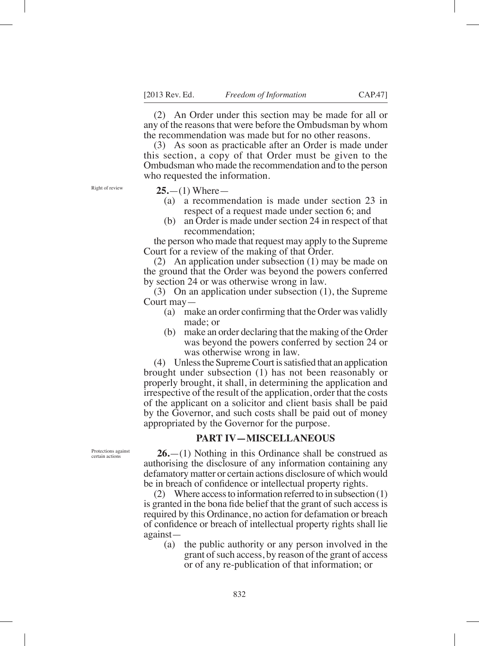(2) An Order under this section may be made for all or any of the reasons that were before the Ombudsman by whom the recommendation was made but for no other reasons.

(3) As soon as practicable after an Order is made under this section, a copy of that Order must be given to the Ombudsman who made the recommendation and to the person who requested the information.

Right of review

**25.**—(1) Where—

- (a) a recommendation is made under section 23 in respect of a request made under section 6; and
- (b) an Order is made under section 24 in respect of that recommendation;

the person who made that request may apply to the Supreme Court for a review of the making of that Order.

(2) An application under subsection (1) may be made on the ground that the Order was beyond the powers conferred by section 24 or was otherwise wrong in law.

(3) On an application under subsection (1), the Supreme Court may—

- (a) make an order confirming that the Order was validly made; or
- (b) make an order declaring that the making of the Order was beyond the powers conferred by section 24 or was otherwise wrong in law.

 $(4)$  Unless the Supreme Court is satisfied that an application brought under subsection (1) has not been reasonably or properly brought, it shall, in determining the application and irrespective of the result of the application, order that the costs of the applicant on a solicitor and client basis shall be paid by the Governor, and such costs shall be paid out of money appropriated by the Governor for the purpose.

# **PART IV—MISCELLANEOUS**

**26.**—(1) Nothing in this Ordinance shall be construed as authorising the disclosure of any information containing any defamatory matter or certain actions disclosure of which would be in breach of confidence or intellectual property rights.

(2) Where access to information referred to in subsection (1) is granted in the bona fide belief that the grant of such access is required by this Ordinance, no action for defamation or breach of confidence or breach of intellectual property rights shall lie against—

(a) the public authority or any person involved in the grant of such access, by reason of the grant of access or of any re-publication of that information; or

Protections against certain actions